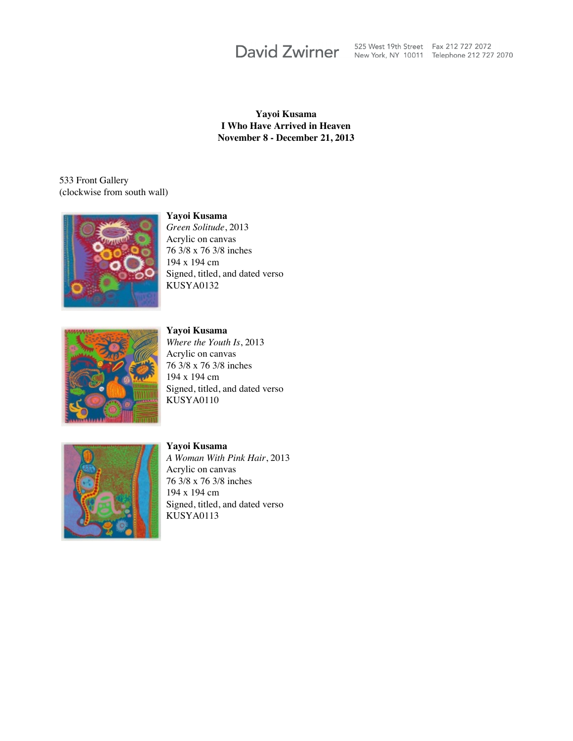David Zwirner 525 West 19th Street Fax 212 727 2072

**Yayoi Kusama I Who Have Arrived in Heaven November 8 - December 21, 2013**

533 Front Gallery (clockwise from south wall)



**Yayoi Kusama**

*Green Solitude*, 2013 Acrylic on canvas 76 3/8 x 76 3/8 inches 194 x 194 cm Signed, titled, and dated verso KUSYA0132



**Yayoi Kusama** *Where the Youth Is*, 2013 Acrylic on canvas 76 3/8 x 76 3/8 inches 194 x 194 cm Signed, titled, and dated verso KUSYA0110



**Yayoi Kusama** *A Woman With Pink Hair*, 2013 Acrylic on canvas 76 3/8 x 76 3/8 inches 194 x 194 cm Signed, titled, and dated verso KUSYA0113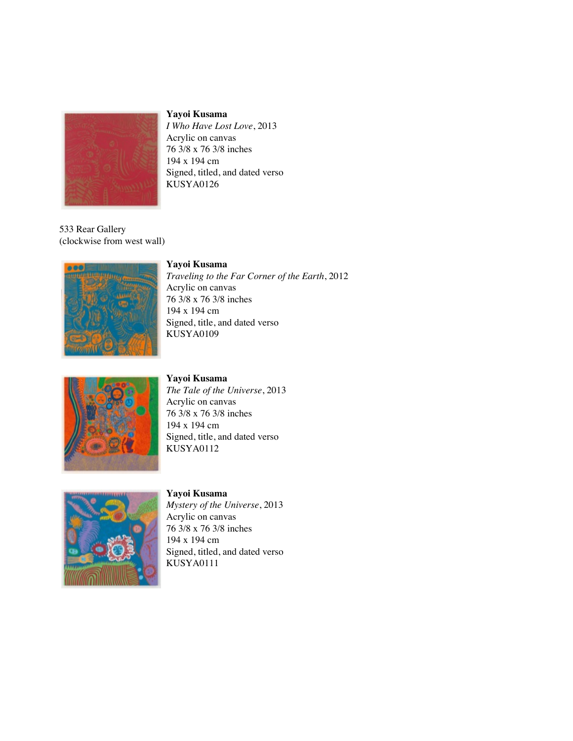

*I Who Have Lost Love*, 2013 Acrylic on canvas 76 3/8 x 76 3/8 inches 194 x 194 cm Signed, titled, and dated verso KUSYA0126

533 Rear Gallery (clockwise from west wall)

#### **Yayoi Kusama**



*Traveling to the Far Corner of the Earth*, 2012 Acrylic on canvas 76 3/8 x 76 3/8 inches 194 x 194 cm Signed, title, and dated verso KUSYA0109



#### **Yayoi Kusama** *The Tale of the Universe*, 2013 Acrylic on canvas 76 3/8 x 76 3/8 inches 194 x 194 cm Signed, title, and dated verso KUSYA0112



#### **Yayoi Kusama**

*Mystery of the Universe*, 2013 Acrylic on canvas 76 3/8 x 76 3/8 inches 194 x 194 cm Signed, titled, and dated verso KUSYA0111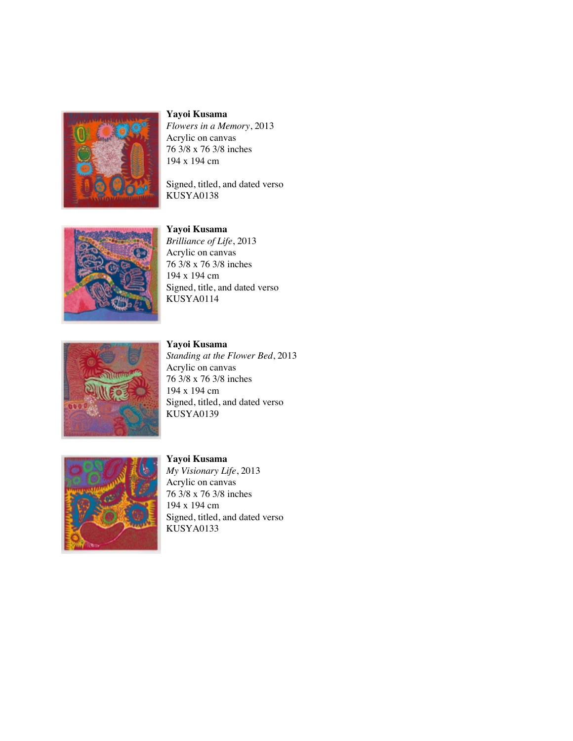

*Flowers in a Memory*, 2013 Acrylic on canvas 76 3/8 x 76 3/8 inches 194 x 194 cm

Signed, titled, and dated verso KUSYA0138

### **Yayoi Kusama**



*Brilliance of Life*, 2013 Acrylic on canvas 76 3/8 x 76 3/8 inches 194 x 194 cm Signed, title, and dated verso KUSYA0114



**Yayoi Kusama** *Standing at the Flower Bed*, 2013 Acrylic on canvas 76 3/8 x 76 3/8 inches 194 x 194 cm Signed, titled, and dated verso KUSYA0139



#### **Yayoi Kusama**

*My Visionary Life*, 2013 Acrylic on canvas 76 3/8 x 76 3/8 inches 194 x 194 cm Signed, titled, and dated verso KUSYA0133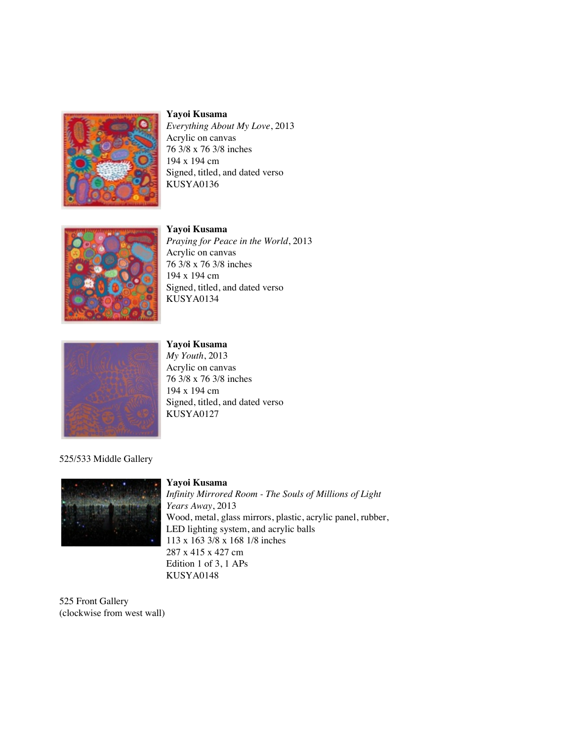



*Everything About My Love*, 2013 Acrylic on canvas 76 3/8 x 76 3/8 inches 194 x 194 cm Signed, titled, and dated verso KUSYA0136



**Yayoi Kusama** *Praying for Peace in the World*, 2013 Acrylic on canvas 76 3/8 x 76 3/8 inches 194 x 194 cm Signed, titled, and dated verso KUSYA0134



### **Yayoi Kusama**

*My Youth*, 2013 Acrylic on canvas 76 3/8 x 76 3/8 inches 194 x 194 cm Signed, titled, and dated verso KUSYA0127

#### 525/533 Middle Gallery



#### **Yayoi Kusama**

*Infinity Mirrored Room - The Souls of Millions of Light Years Away*, 2013 Wood, metal, glass mirrors, plastic, acrylic panel, rubber, LED lighting system, and acrylic balls 113 x 163 3/8 x 168 1/8 inches 287 x 415 x 427 cm Edition 1 of 3, 1 APs KUSYA0148

525 Front Gallery (clockwise from west wall)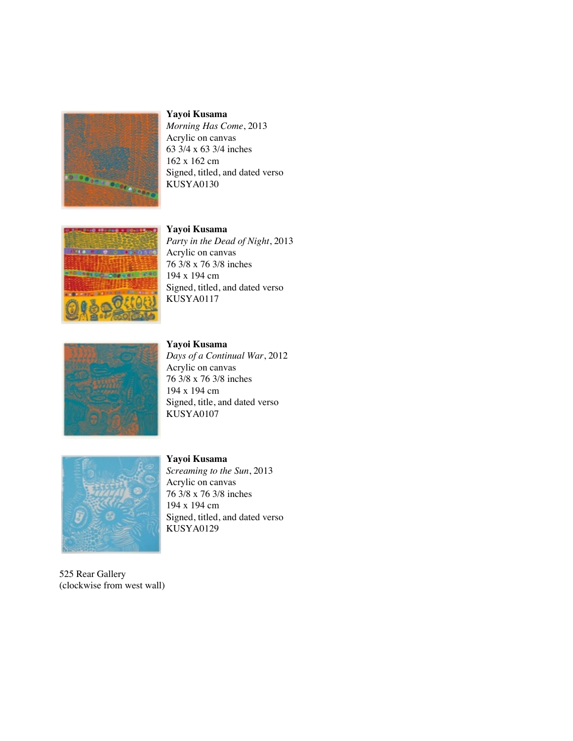

*Morning Has Come*, 2013 Acrylic on canvas 63 3/4 x 63 3/4 inches 162 x 162 cm Signed, titled, and dated verso KUSYA0130

### **Yayoi Kusama**



*Party in the Dead of Night*, 2013 Acrylic on canvas 76 3/8 x 76 3/8 inches 194 x 194 cm Signed, titled, and dated verso KUSYA0117



**Yayoi Kusama** *Days of a Continual War*, 2012 Acrylic on canvas 76 3/8 x 76 3/8 inches 194 x 194 cm Signed, title, and dated verso KUSYA0107



525 Rear Gallery (clockwise from west wall)

#### **Yayoi Kusama**

*Screaming to the Sun*, 2013 Acrylic on canvas 76 3/8 x 76 3/8 inches 194 x 194 cm Signed, titled, and dated verso KUSYA0129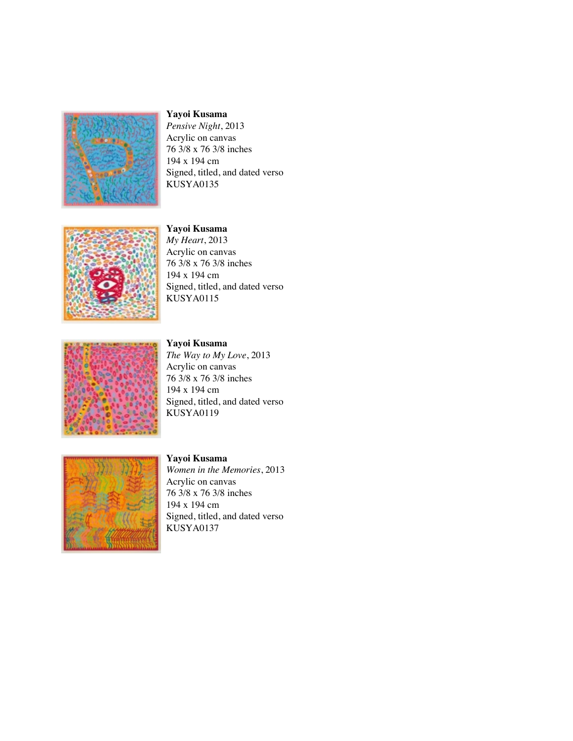

*Pensive Night*, 2013 Acrylic on canvas 76 3/8 x 76 3/8 inches 194 x 194 cm Signed, titled, and dated verso KUSYA0135

### **Yayoi Kusama**



*My Heart*, 2013 Acrylic on canvas 76 3/8 x 76 3/8 inches 194 x 194 cm Signed, titled, and dated verso KUSYA0115



**Yayoi Kusama**

*The Way to My Love*, 2013 Acrylic on canvas 76 3/8 x 76 3/8 inches 194 x 194 cm Signed, titled, and dated verso KUSYA0119



### **Yayoi Kusama**

*Women in the Memories*, 2013 Acrylic on canvas 76 3/8 x 76 3/8 inches 194 x 194 cm Signed, titled, and dated verso KUSYA0137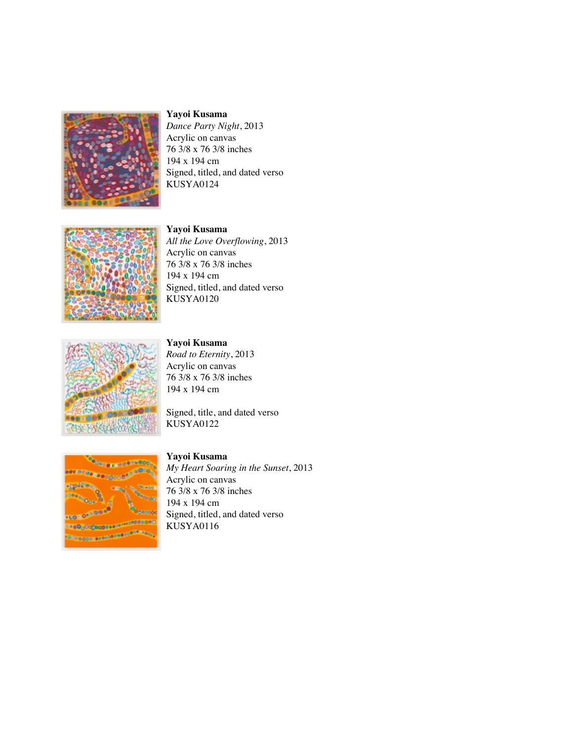

*Dance Party Night*, 2013 Acrylic on canvas 76 3/8 x 76 3/8 inches 194 x 194 cm Signed, titled, and dated verso KUSYA0124

# **Yayoi Kusama**



*All the Love Overflowing*, 2013 Acrylic on canvas 76 3/8 x 76 3/8 inches 194 x 194 cm Signed, titled, and dated verso KUSYA0120



**Yayoi Kusama**

*Road to Eternity*, 2013 Acrylic on canvas 76 3/8 x 76 3/8 inches 194 x 194 cm

Signed, title, and dated verso KUSYA0122



### **Yayoi Kusama**

*My Heart Soaring in the Sunset*, 2013 Acrylic on canvas 76 3/8 x 76 3/8 inches 194 x 194 cm Signed, titled, and dated verso KUSYA0116